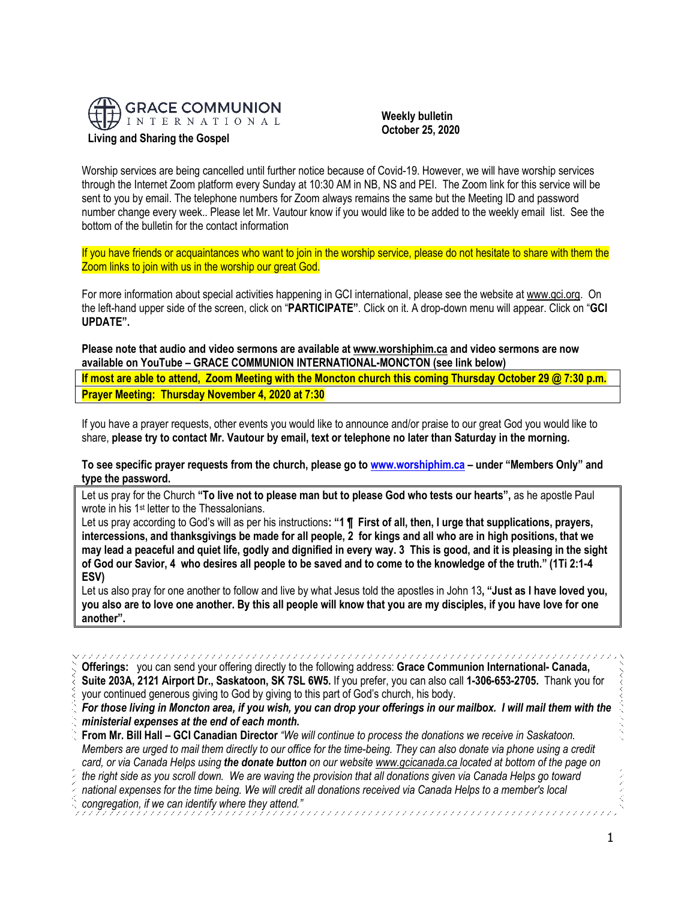

 **Weekly bulletin October 25, 2020**

Worship services are being cancelled until further notice because of Covid-19. However, we will have worship services through the Internet Zoom platform every Sunday at 10:30 AM in NB, NS and PEI. The Zoom link for this service will be sent to you by email. The telephone numbers for Zoom always remains the same but the Meeting ID and password number change every week.. Please let Mr. Vautour know if you would like to be added to the weekly email list. See the bottom of the bulletin for the contact information

If you have friends or acquaintances who want to join in the worship service, please do not hesitate to share with them the Zoom links to join with us in the worship our great God.

For more information about special activities happening in GCI international, please see the website a[t www.gci.org.](http://www.gci.org/) On the left-hand upper side of the screen, click on "**PARTICIPATE"**. Click on it. A drop-down menu will appear. Click on "**GCI UPDATE".**

**Please note that audio and video sermons are available at [www.worshiphim.ca](http://www.worshiphim.ca/) and video sermons are now available on YouTube – GRACE COMMUNION INTERNATIONAL-MONCTON (see link below)** 

**If most are able to attend, Zoom Meeting with the Moncton church this coming Thursday October 29 @ 7:30 p.m. Prayer Meeting: Thursday November 4, 2020 at 7:30**

If you have a prayer requests, other events you would like to announce and/or praise to our great God you would like to share, **please try to contact Mr. Vautour by email, text or telephone no later than Saturday in the morning.**

**To see specific prayer requests from the church, please go to [www.worshiphim.ca](http://www.worshiphim.ca/) – under "Members Only" and type the password.**

Let us pray for the Church **"To live not to please man but to please God who tests our hearts",** as he apostle Paul wrote in his 1<sup>st</sup> letter to the Thessalonians.

Let us pray according to God's will as per his instructions**: "1 ¶ First of all, then, I urge that supplications, prayers, intercessions, and thanksgivings be made for all people, 2 for kings and all who are in high positions, that we may lead a peaceful and quiet life, godly and dignified in every way. 3 This is good, and it is pleasing in the sight of God our Savior, 4 who desires all people to be saved and to come to the knowledge of the truth." (1Ti 2:1-4 ESV)**

Let us also pray for one another to follow and live by what Jesus told the apostles in John 13**, "Just as I have loved you, you also are to love one another. By this all people will know that you are my disciples, if you have love for one another".**

**Offerings:** you can send your offering directly to the following address: **Grace Communion International- Canada, Suite 203A, 2121 Airport Dr., Saskatoon, SK 7SL 6W5.** If you prefer, you can also call **1-306-653-2705.** Thank you for your continued generous giving to God by giving to this part of God's church, his body. *For those living in Moncton area, if you wish, you can drop your offerings in our mailbox. I will mail them with the ministerial expenses at the end of each month.*  **From Mr. Bill Hall – GCI Canadian Director** *"We will continue to process the donations we receive in Saskatoon. Members are urged to mail them directly to our office for the time-being. They can also donate via phone using a credit card, or via Canada Helps using the donate button on our websit[e www.gcicanada.ca](https://eur03.safelinks.protection.outlook.com/?url=http%3A%2F%2Fwww.gcicanada.ca%2F&data=02%7C01%7C%7C9fd93e29c2b44509e5a008d7caa78fdb%7C84df9e7fe9f640afb435aaaaaaaaaaaa%7C1%7C0%7C637200693331983394&sdata=VAGy4Q%2BxbhHuYaeEiDz%2FQyicT%2FoiY4Ir9kc8w5yHRPs%3D&reserved=0) located at bottom of the page on the right side as you scroll down. We are waving the provision that all donations given via Canada Helps go toward national expenses for the time being. We will credit all donations received via Canada Helps to a member's local* 

*congregation, if we can identify where they attend."*

1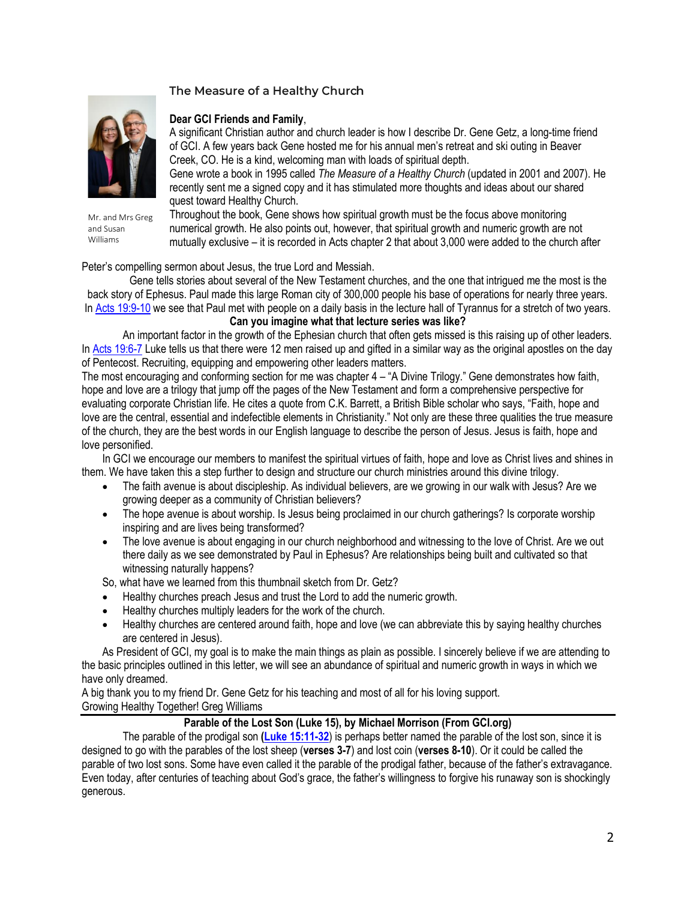# The Measure of a Healthy Church



Mr. and Mrs Greg and Susan Williams

# **Dear GCI Friends and Family**,

A significant Christian author and church leader is how I describe Dr. Gene Getz, a long-time friend of GCI. A few years back Gene hosted me for his annual men's retreat and ski outing in Beaver Creek, CO. He is a kind, welcoming man with loads of spiritual depth.

Gene wrote a book in 1995 called *The Measure of a Healthy Church* (updated in 2001 and 2007). He recently sent me a signed copy and it has stimulated more thoughts and ideas about our shared quest toward Healthy Church.

Throughout the book, Gene shows how spiritual growth must be the focus above monitoring numerical growth. He also points out, however, that spiritual growth and numeric growth are not mutually exclusive – it is recorded in Acts chapter 2 that about 3,000 were added to the church after

## Peter's compelling sermon about Jesus, the true Lord and Messiah.

Gene tells stories about several of the New Testament churches, and the one that intrigued me the most is the back story of Ephesus. Paul made this large Roman city of 300,000 people his base of operations for nearly three years. In [Acts 19:9-10](https://biblia.com/bible/niv/Acts%2019.9-10) we see that Paul met with people on a daily basis in the lecture hall of Tyrannus for a stretch of two years.

# **Can you imagine what that lecture series was like?**

An important factor in the growth of the Ephesian church that often gets missed is this raising up of other leaders. In [Acts 19:6-7](https://biblia.com/bible/niv/Acts%2019.6-7) Luke tells us that there were 12 men raised up and gifted in a similar way as the original apostles on the day of Pentecost. Recruiting, equipping and empowering other leaders matters.

The most encouraging and conforming section for me was chapter 4 – "A Divine Trilogy." Gene demonstrates how faith, hope and love are a trilogy that jump off the pages of the New Testament and form a comprehensive perspective for evaluating corporate Christian life. He cites a quote from C.K. Barrett, a British Bible scholar who says, "Faith, hope and love are the central, essential and indefectible elements in Christianity." Not only are these three qualities the true measure of the church, they are the best words in our English language to describe the person of Jesus. Jesus is faith, hope and love personified.

In GCI we encourage our members to manifest the spiritual virtues of faith, hope and love as Christ lives and shines in them. We have taken this a step further to design and structure our church ministries around this divine trilogy.

- The faith avenue is about discipleship. As individual believers, are we growing in our walk with Jesus? Are we growing deeper as a community of Christian believers?
- The hope avenue is about worship. Is Jesus being proclaimed in our church gatherings? Is corporate worship inspiring and are lives being transformed?
- The love avenue is about engaging in our church neighborhood and witnessing to the love of Christ. Are we out there daily as we see demonstrated by Paul in Ephesus? Are relationships being built and cultivated so that witnessing naturally happens?

So, what have we learned from this thumbnail sketch from Dr. Getz?

- Healthy churches preach Jesus and trust the Lord to add the numeric growth.
- Healthy churches multiply leaders for the work of the church.
- Healthy churches are centered around faith, hope and love (we can abbreviate this by saying healthy churches are centered in Jesus).

As President of GCI, my goal is to make the main things as plain as possible. I sincerely believe if we are attending to the basic principles outlined in this letter, we will see an abundance of spiritual and numeric growth in ways in which we have only dreamed.

A big thank you to my friend Dr. Gene Getz for his teaching and most of all for his loving support. Growing Healthy Together! Greg Williams

### **Parable of the Lost Son (Luke 15), by Michael Morrison (From GCI.org)**

The parable of the prodigal son **[\(Luke 15:11-32](https://biblia.com/bible/niv/Luke%2015.11-32)**) is perhaps better named the parable of the lost son, since it is designed to go with the parables of the lost sheep (**verses 3-7**) and lost coin (**verses 8-10**). Or it could be called the parable of two lost sons. Some have even called it the parable of the prodigal father, because of the father's extravagance. Even today, after centuries of teaching about God's grace, the father's willingness to forgive his runaway son is shockingly generous.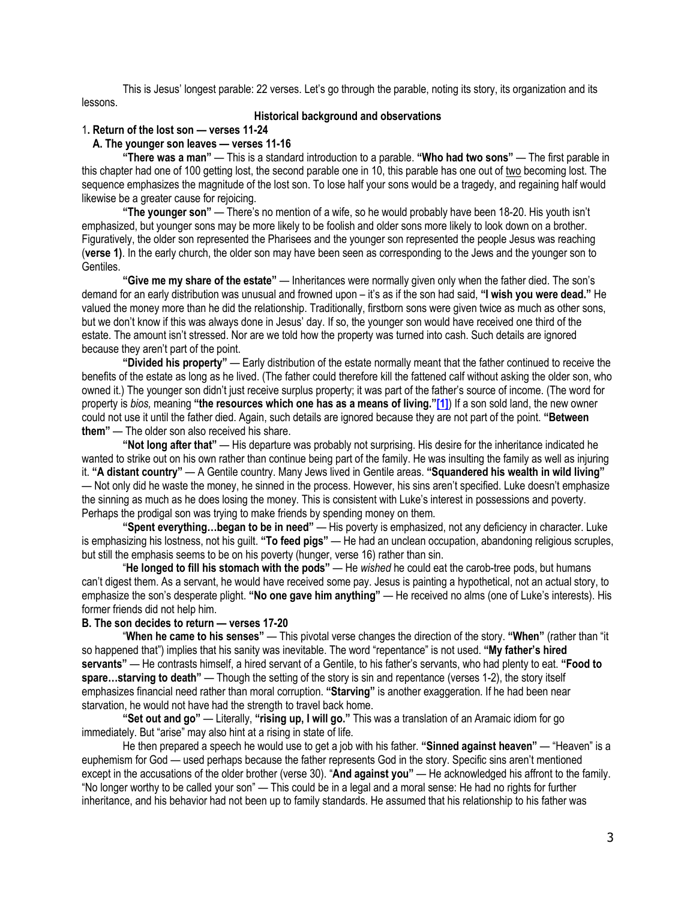This is Jesus' longest parable: 22 verses. Let's go through the parable, noting its story, its organization and its lessons.

#### **Historical background and observations**

### 1**. Return of the lost son — verses 11-24**

# **A. The younger son leaves — verses 11-16**

**"There was a man"** — This is a standard introduction to a parable. **"Who had two sons"** — The first parable in this chapter had one of 100 getting lost, the second parable one in 10, this parable has one out of two becoming lost. The sequence emphasizes the magnitude of the lost son. To lose half your sons would be a tragedy, and regaining half would likewise be a greater cause for rejoicing.

**"The younger son"** — There's no mention of a wife, so he would probably have been 18-20. His youth isn't emphasized, but younger sons may be more likely to be foolish and older sons more likely to look down on a brother. Figuratively, the older son represented the Pharisees and the younger son represented the people Jesus was reaching (**verse 1)**. In the early church, the older son may have been seen as corresponding to the Jews and the younger son to Gentiles.

**"Give me my share of the estate"** — Inheritances were normally given only when the father died. The son's demand for an early distribution was unusual and frowned upon – it's as if the son had said, **"I wish you were dead."** He valued the money more than he did the relationship. Traditionally, firstborn sons were given twice as much as other sons, but we don't know if this was always done in Jesus' day. If so, the younger son would have received one third of the estate. The amount isn't stressed. Nor are we told how the property was turned into cash. Such details are ignored because they aren't part of the point.

**"Divided his property"** — Early distribution of the estate normally meant that the father continued to receive the benefits of the estate as long as he lived. (The father could therefore kill the fattened calf without asking the older son, who owned it.) The younger son didn't just receive surplus property; it was part of the father's source of income. (The word for property is *bios,* meaning **"the resources which one has as a means of living."[\[1\]](https://www.gci.org/articles/parable-of-the-lost-son/#_ftn1)**) If a son sold land, the new owner could not use it until the father died. Again, such details are ignored because they are not part of the point. **"Between them"** — The older son also received his share.

**"Not long after that"** — His departure was probably not surprising. His desire for the inheritance indicated he wanted to strike out on his own rather than continue being part of the family. He was insulting the family as well as injuring it. **"A distant country"** — A Gentile country. Many Jews lived in Gentile areas. **"Squandered his wealth in wild living"** — Not only did he waste the money, he sinned in the process. However, his sins aren't specified. Luke doesn't emphasize the sinning as much as he does losing the money. This is consistent with Luke's interest in possessions and poverty. Perhaps the prodigal son was trying to make friends by spending money on them.

**"Spent everything…began to be in need"** — His poverty is emphasized, not any deficiency in character. Luke is emphasizing his lostness, not his guilt. **"To feed pigs"** — He had an unclean occupation, abandoning religious scruples, but still the emphasis seems to be on his poverty (hunger, verse 16) rather than sin.

"**He longed to fill his stomach with the pods"** — He *wished* he could eat the carob-tree pods, but humans can't digest them. As a servant, he would have received some pay. Jesus is painting a hypothetical, not an actual story, to emphasize the son's desperate plight. "No one gave him anything" — He received no alms (one of Luke's interests). His former friends did not help him.

### **B. The son decides to return — verses 17-20**

"**When he came to his senses"** — This pivotal verse changes the direction of the story. **"When"** (rather than "it so happened that") implies that his sanity was inevitable. The word "repentance" is not used. **"My father's hired servants"** — He contrasts himself, a hired servant of a Gentile, to his father's servants, who had plenty to eat. **"Food to spare…starving to death"** — Though the setting of the story is sin and repentance (verses 1-2), the story itself emphasizes financial need rather than moral corruption. **"Starving"** is another exaggeration. If he had been near starvation, he would not have had the strength to travel back home.

**"Set out and go"** — Literally, **"rising up, I will go."** This was a translation of an Aramaic idiom for go immediately. But "arise" may also hint at a rising in state of life.

He then prepared a speech he would use to get a job with his father. **"Sinned against heaven"** — "Heaven" is a euphemism for God — used perhaps because the father represents God in the story. Specific sins aren't mentioned except in the accusations of the older brother (verse 30). "**And against you"** — He acknowledged his affront to the family. "No longer worthy to be called your son" — This could be in a legal and a moral sense: He had no rights for further inheritance, and his behavior had not been up to family standards. He assumed that his relationship to his father was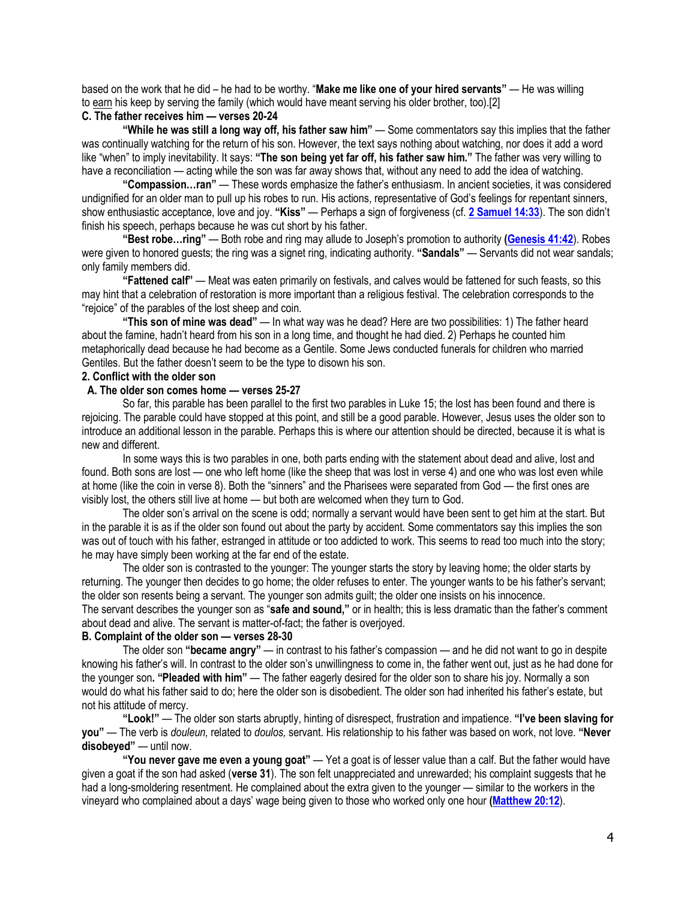based on the work that he did – he had to be worthy. "**Make me like one of your hired servants"** — He was willing to earn his keep by serving the family (which would have meant serving his older brother, too).[2]

### **C. The father receives him — verses 20-24**

**"While he was still a long way off, his father saw him"** — Some commentators say this implies that the father was continually watching for the return of his son. However, the text says nothing about watching, nor does it add a word like "when" to imply inevitability. It says: **"The son being yet far off, his father saw him."** The father was very willing to have a reconciliation — acting while the son was far away shows that, without any need to add the idea of watching.

**"Compassion…ran"** — These words emphasize the father's enthusiasm. In ancient societies, it was considered undignified for an older man to pull up his robes to run. His actions, representative of God's feelings for repentant sinners, show enthusiastic acceptance, love and joy. **"Kiss"** — Perhaps a sign of forgiveness (cf. **[2 Samuel 14:33](https://biblia.com/bible/niv/2%20Sam%2014.33)**). The son didn't finish his speech, perhaps because he was cut short by his father.

**"Best robe…ring"** — Both robe and ring may allude to Joseph's promotion to authority **[\(Genesis 41:42](https://biblia.com/bible/niv/Gen%2041.42)**). Robes were given to honored guests; the ring was a signet ring, indicating authority. **"Sandals"** — Servants did not wear sandals; only family members did.

**"Fattened calf"** — Meat was eaten primarily on festivals, and calves would be fattened for such feasts, so this may hint that a celebration of restoration is more important than a religious festival. The celebration corresponds to the "rejoice" of the parables of the lost sheep and coin.

**"This son of mine was dead"** — In what way was he dead? Here are two possibilities: 1) The father heard about the famine, hadn't heard from his son in a long time, and thought he had died. 2) Perhaps he counted him metaphorically dead because he had become as a Gentile. Some Jews conducted funerals for children who married Gentiles. But the father doesn't seem to be the type to disown his son.

### **2. Conflict with the older son**

#### **A. The older son comes home — verses 25-27**

So far, this parable has been parallel to the first two parables in Luke 15; the lost has been found and there is rejoicing. The parable could have stopped at this point, and still be a good parable. However, Jesus uses the older son to introduce an additional lesson in the parable. Perhaps this is where our attention should be directed, because it is what is new and different.

In some ways this is two parables in one, both parts ending with the statement about dead and alive, lost and found. Both sons are lost — one who left home (like the sheep that was lost in verse 4) and one who was lost even while at home (like the coin in verse 8). Both the "sinners" and the Pharisees were separated from God — the first ones are visibly lost, the others still live at home — but both are welcomed when they turn to God.

The older son's arrival on the scene is odd; normally a servant would have been sent to get him at the start. But in the parable it is as if the older son found out about the party by accident. Some commentators say this implies the son was out of touch with his father, estranged in attitude or too addicted to work. This seems to read too much into the story; he may have simply been working at the far end of the estate.

The older son is contrasted to the younger: The younger starts the story by leaving home; the older starts by returning. The younger then decides to go home; the older refuses to enter. The younger wants to be his father's servant; the older son resents being a servant. The younger son admits guilt; the older one insists on his innocence. The servant describes the younger son as "**safe and sound,"** or in health; this is less dramatic than the father's comment

about dead and alive. The servant is matter-of-fact; the father is overjoyed.

## **B. Complaint of the older son — verses 28-30**

The older son **"became angry"** — in contrast to his father's compassion — and he did not want to go in despite knowing his father's will. In contrast to the older son's unwillingness to come in, the father went out, just as he had done for the younger son**. "Pleaded with him"** — The father eagerly desired for the older son to share his joy. Normally a son would do what his father said to do; here the older son is disobedient. The older son had inherited his father's estate, but not his attitude of mercy.

**"Look!"** — The older son starts abruptly, hinting of disrespect, frustration and impatience. **"I've been slaving for you"** — The verb is *douleun,* related to *doulos,* servant. His relationship to his father was based on work, not love. **"Never disobeyed"** — until now.

**"You never gave me even a young goat"** — Yet a goat is of lesser value than a calf. But the father would have given a goat if the son had asked (**verse 31**). The son felt unappreciated and unrewarded; his complaint suggests that he had a long-smoldering resentment. He complained about the extra given to the younger — similar to the workers in the vineyard who complained about a days' wage being given to those who worked only one hour **[\(Matthew 20:12](https://biblia.com/bible/niv/Matt%2020.12)**).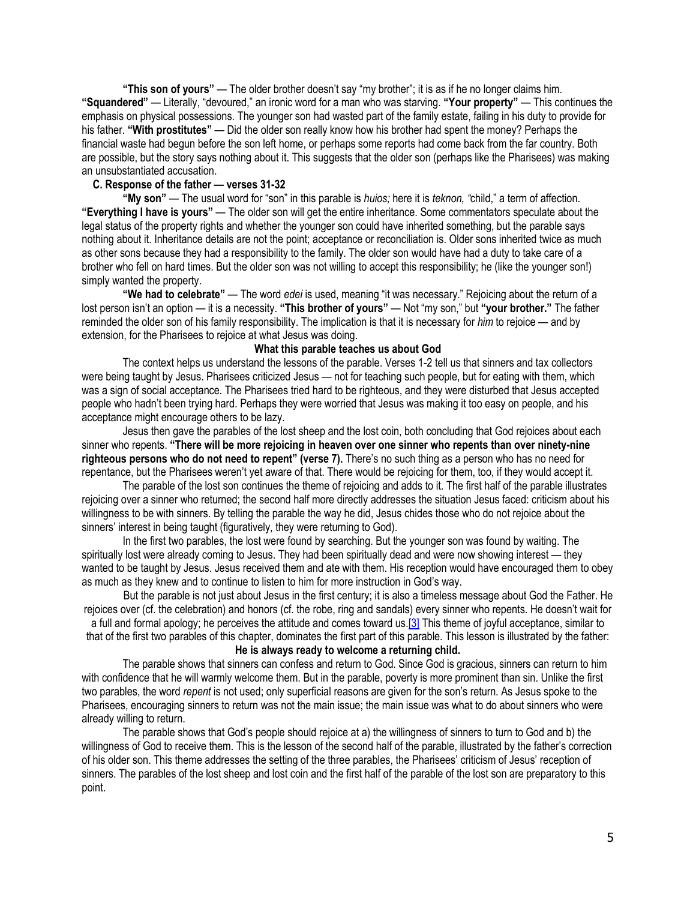**"This son of yours"** — The older brother doesn't say "my brother"; it is as if he no longer claims him. **"Squandered"** — Literally, "devoured," an ironic word for a man who was starving. **"Your property"** — This continues the emphasis on physical possessions. The younger son had wasted part of the family estate, failing in his duty to provide for his father. **"With prostitutes"** — Did the older son really know how his brother had spent the money? Perhaps the financial waste had begun before the son left home, or perhaps some reports had come back from the far country. Both are possible, but the story says nothing about it. This suggests that the older son (perhaps like the Pharisees) was making an unsubstantiated accusation.

#### **C. Response of the father — verses 31-32**

**"My son"** — The usual word for "son" in this parable is *huios;* here it is *teknon, "*child," a term of affection. **"Everything I have is yours"** — The older son will get the entire inheritance. Some commentators speculate about the legal status of the property rights and whether the younger son could have inherited something, but the parable says nothing about it. Inheritance details are not the point; acceptance or reconciliation is. Older sons inherited twice as much as other sons because they had a responsibility to the family. The older son would have had a duty to take care of a brother who fell on hard times. But the older son was not willing to accept this responsibility; he (like the younger son!) simply wanted the property.

**"We had to celebrate"** — The word *edei* is used, meaning "it was necessary." Rejoicing about the return of a lost person isn't an option — it is a necessity. **"This brother of yours"** — Not "my son," but **"your brother."** The father reminded the older son of his family responsibility. The implication is that it is necessary for *him* to rejoice — and by extension, for the Pharisees to rejoice at what Jesus was doing.

#### **What this parable teaches us about God**

The context helps us understand the lessons of the parable. Verses 1-2 tell us that sinners and tax collectors were being taught by Jesus. Pharisees criticized Jesus — not for teaching such people, but for eating with them, which was a sign of social acceptance. The Pharisees tried hard to be righteous, and they were disturbed that Jesus accepted people who hadn't been trying hard. Perhaps they were worried that Jesus was making it too easy on people, and his acceptance might encourage others to be lazy.

Jesus then gave the parables of the lost sheep and the lost coin, both concluding that God rejoices about each sinner who repents. **"There will be more rejoicing in heaven over one sinner who repents than over ninety-nine righteous persons who do not need to repent" (verse 7).** There's no such thing as a person who has no need for repentance, but the Pharisees weren't yet aware of that. There would be rejoicing for them, too, if they would accept it.

The parable of the lost son continues the theme of rejoicing and adds to it. The first half of the parable illustrates rejoicing over a sinner who returned; the second half more directly addresses the situation Jesus faced: criticism about his willingness to be with sinners. By telling the parable the way he did, Jesus chides those who do not rejoice about the sinners' interest in being taught (figuratively, they were returning to God).

In the first two parables, the lost were found by searching. But the younger son was found by waiting. The spiritually lost were already coming to Jesus. They had been spiritually dead and were now showing interest — they wanted to be taught by Jesus. Jesus received them and ate with them. His reception would have encouraged them to obey as much as they knew and to continue to listen to him for more instruction in God's way.

But the parable is not just about Jesus in the first century; it is also a timeless message about God the Father. He rejoices over (cf. the celebration) and honors (cf. the robe, ring and sandals) every sinner who repents. He doesn't wait for a full and formal apology; he perceives the attitude and comes toward u[s.\[3\]](https://www.gci.org/articles/parable-of-the-lost-son/#_ftn3) This theme of joyful acceptance, similar to that of the first two parables of this chapter, dominates the first part of this parable. This lesson is illustrated by the father:

# **He is always ready to welcome a returning child.**

The parable shows that sinners can confess and return to God. Since God is gracious, sinners can return to him with confidence that he will warmly welcome them. But in the parable, poverty is more prominent than sin. Unlike the first two parables, the word *repent* is not used; only superficial reasons are given for the son's return. As Jesus spoke to the Pharisees, encouraging sinners to return was not the main issue; the main issue was what to do about sinners who were already willing to return.

The parable shows that God's people should rejoice at a) the willingness of sinners to turn to God and b) the willingness of God to receive them. This is the lesson of the second half of the parable, illustrated by the father's correction of his older son. This theme addresses the setting of the three parables, the Pharisees' criticism of Jesus' reception of sinners. The parables of the lost sheep and lost coin and the first half of the parable of the lost son are preparatory to this point.